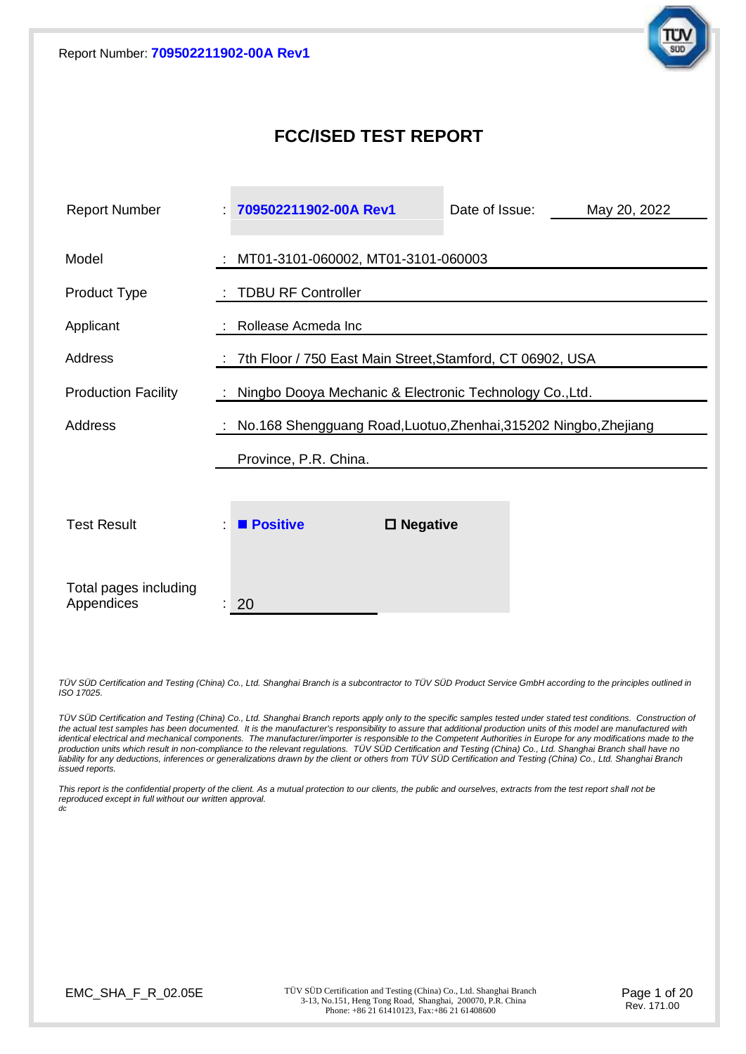

## **FCC/ISED TEST REPORT**

| <b>Report Number</b>                | 709502211902-00A Rev1                                              |                    | Date of Issue: | May 20, 2022 |  |  |
|-------------------------------------|--------------------------------------------------------------------|--------------------|----------------|--------------|--|--|
| Model                               | MT01-3101-060002, MT01-3101-060003                                 |                    |                |              |  |  |
| Product Type                        | <b>TDBU RF Controller</b>                                          |                    |                |              |  |  |
| Applicant                           | Rollease Acmeda Inc                                                |                    |                |              |  |  |
| Address                             | 7th Floor / 750 East Main Street, Stamford, CT 06902, USA          |                    |                |              |  |  |
| <b>Production Facility</b>          | : Ningbo Dooya Mechanic & Electronic Technology Co., Ltd.          |                    |                |              |  |  |
| <b>Address</b>                      | : No.168 Shengguang Road, Luotuo, Zhenhai, 315202 Ningbo, Zhejiang |                    |                |              |  |  |
|                                     | Province, P.R. China.                                              |                    |                |              |  |  |
|                                     |                                                                    |                    |                |              |  |  |
| <b>Test Result</b>                  | <b>Positive</b>                                                    | $\square$ Negative |                |              |  |  |
| Total pages including<br>Appendices | 20                                                                 |                    |                |              |  |  |

*TÜV SÜD Certification and Testing (China) Co., Ltd. Shanghai Branch is a subcontractor to TÜV SÜD Product Service GmbH according to the principles outlined in ISO 17025.*

*TÜV SÜD Certification and Testing (China) Co., Ltd. Shanghai Branch reports apply only to the specific samples tested under stated test conditions. Construction of*  the actual test samples has been documented. It is the manufacturer's responsibility to assure that additional production units of this model are manufactured with<br>identical electrical and mechanical components. The manufa *production units which result in non-compliance to the relevant regulations. TÜV SÜD Certification and Testing (China) Co., Ltd. Shanghai Branch shall have no liability for any deductions, inferences or generalizations drawn by the client or others from TÜV SÜD Certification and Testing (China) Co., Ltd. Shanghai Branch issued reports.*

*This report is the confidential property of the client. As a mutual protection to our clients, the public and ourselves, extracts from the test report shall not be reproduced except in full without our written approval. dc*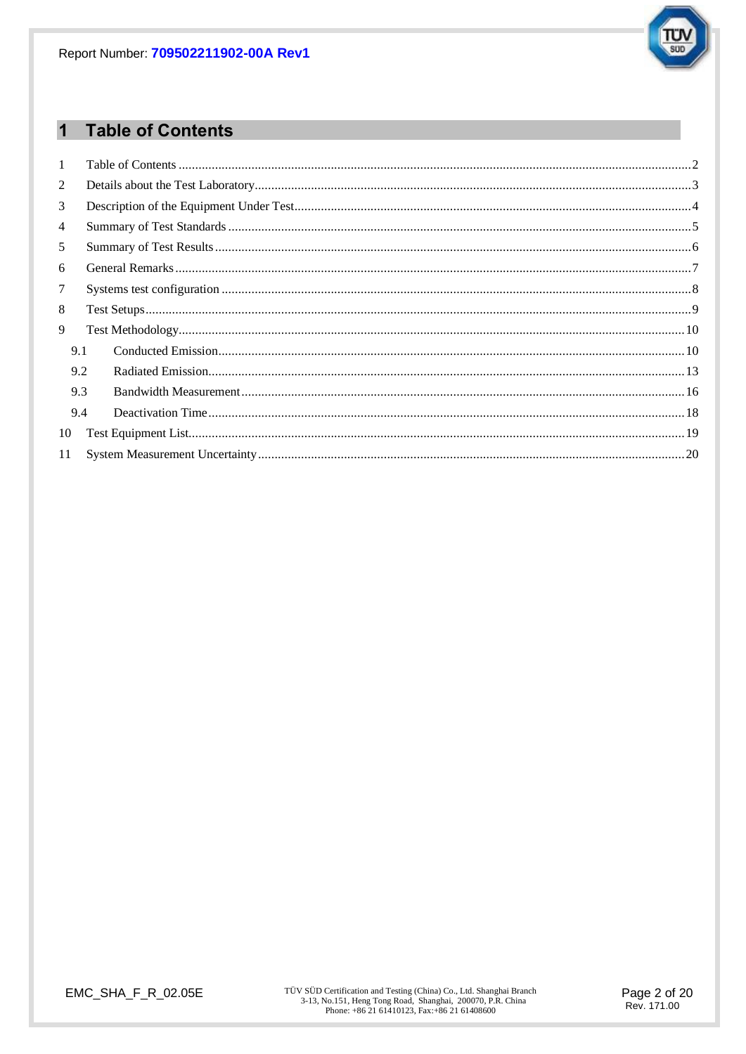

#### **Table of Contents**  $\overline{1}$

| $\mathbf{1}$   |     |  |  |  |
|----------------|-----|--|--|--|
| $\overline{2}$ |     |  |  |  |
| 3              |     |  |  |  |
| $\overline{4}$ |     |  |  |  |
| 5              |     |  |  |  |
| 6              |     |  |  |  |
| $\tau$         |     |  |  |  |
| 8              |     |  |  |  |
| 9              |     |  |  |  |
|                | 9.1 |  |  |  |
|                | 9.2 |  |  |  |
|                | 9.3 |  |  |  |
|                | 9.4 |  |  |  |
| 10             |     |  |  |  |
| 11             |     |  |  |  |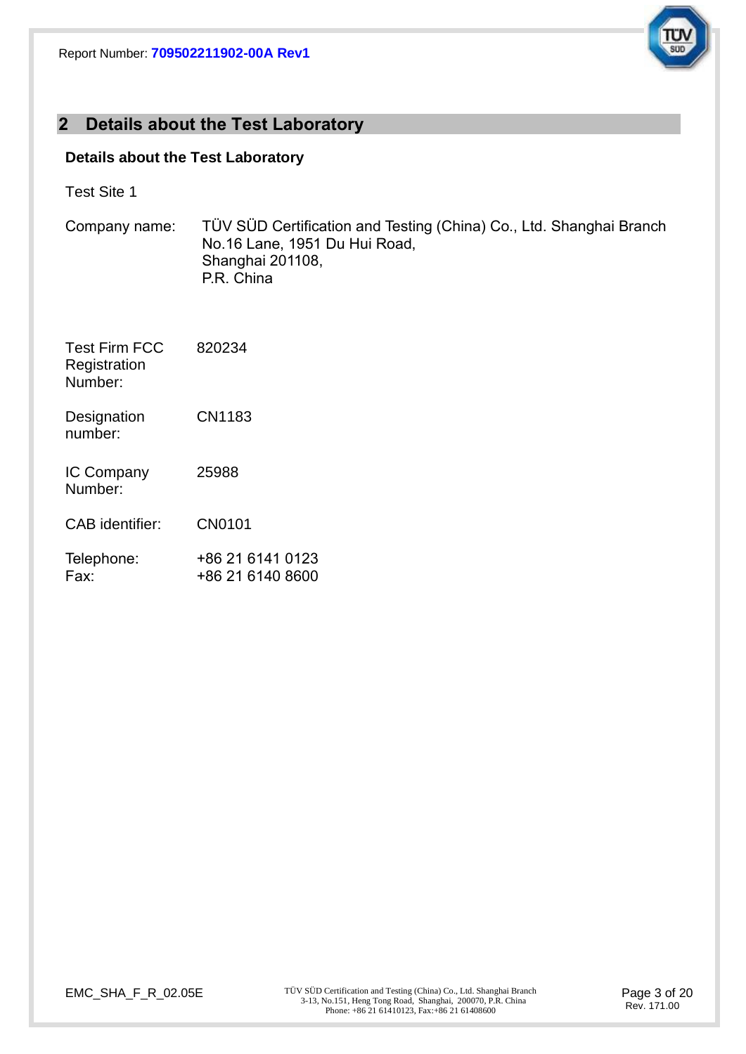

## **2 Details about the Test Laboratory**

## **Details about the Test Laboratory**

| <b>Test Site 1</b> |  |
|--------------------|--|
|--------------------|--|

| Company name:                                   | TÜV SÜD Certification and Testing (China) Co., Ltd. Shanghai Branch<br>No.16 Lane, 1951 Du Hui Road,<br>Shanghai 201108,<br>P.R. China |
|-------------------------------------------------|----------------------------------------------------------------------------------------------------------------------------------------|
| <b>Test Firm FCC</b><br>Registration<br>Number: | 820234                                                                                                                                 |
| Designation<br>number:                          | CN1183                                                                                                                                 |
| IC Company<br>Number:                           | 25988                                                                                                                                  |
| <b>CAB</b> identifier:                          | CN0101                                                                                                                                 |
| Telephone:<br>Fax:                              | +86 21 6141 0123<br>+86 21 6140 8600                                                                                                   |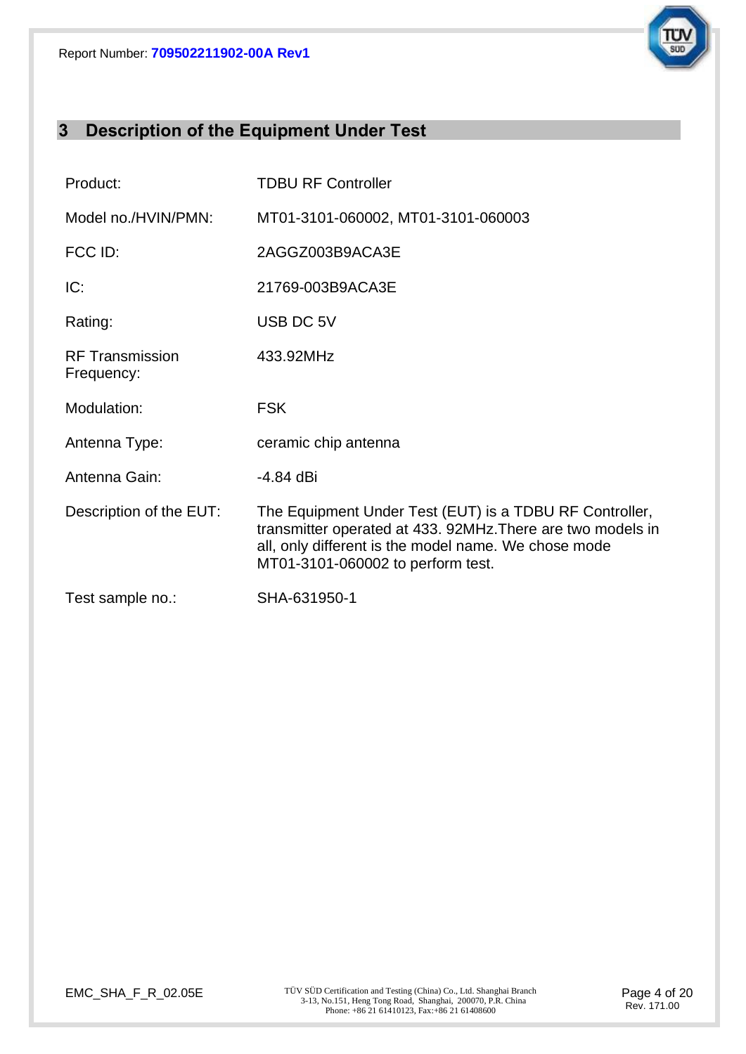

## **3 Description of the Equipment Under Test**

| Product:                             | <b>TDBU RF Controller</b>                                                                                                                                                                                           |
|--------------------------------------|---------------------------------------------------------------------------------------------------------------------------------------------------------------------------------------------------------------------|
| Model no./HVIN/PMN:                  | MT01-3101-060002, MT01-3101-060003                                                                                                                                                                                  |
| FCC ID:                              | 2AGGZ003B9ACA3E                                                                                                                                                                                                     |
| IC:                                  | 21769-003B9ACA3E                                                                                                                                                                                                    |
| Rating:                              | USB DC 5V                                                                                                                                                                                                           |
| <b>RF Transmission</b><br>Frequency: | 433.92MHz                                                                                                                                                                                                           |
| Modulation:                          | <b>FSK</b>                                                                                                                                                                                                          |
| Antenna Type:                        | ceramic chip antenna                                                                                                                                                                                                |
| Antenna Gain:                        | -4.84 dBi                                                                                                                                                                                                           |
| Description of the EUT:              | The Equipment Under Test (EUT) is a TDBU RF Controller,<br>transmitter operated at 433. 92MHz. There are two models in<br>all, only different is the model name. We chose mode<br>MT01-3101-060002 to perform test. |
| Test sample no.:                     | SHA-631950-1                                                                                                                                                                                                        |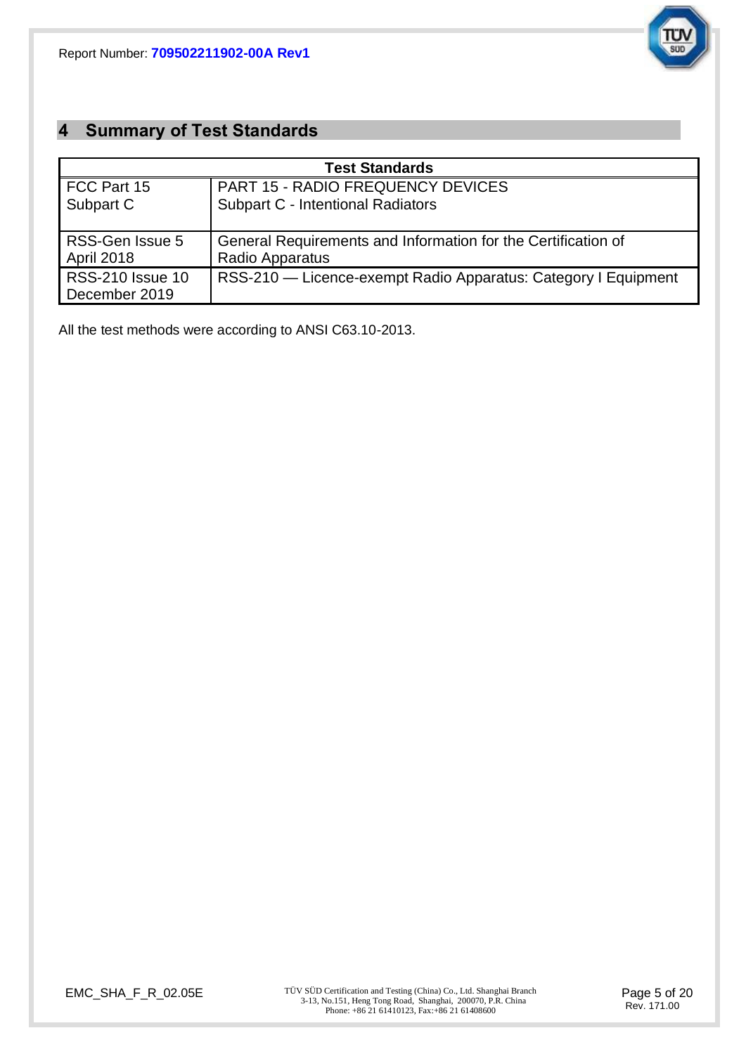

## **4 Summary of Test Standards**

| <b>Test Standards</b>   |                                                                |  |  |  |
|-------------------------|----------------------------------------------------------------|--|--|--|
| FCC Part 15             | <b>PART 15 - RADIO FREQUENCY DEVICES</b>                       |  |  |  |
| Subpart C               | <b>Subpart C - Intentional Radiators</b>                       |  |  |  |
|                         |                                                                |  |  |  |
| RSS-Gen Issue 5         | General Requirements and Information for the Certification of  |  |  |  |
| April 2018              | Radio Apparatus                                                |  |  |  |
| <b>RSS-210 Issue 10</b> | RSS-210 — Licence-exempt Radio Apparatus: Category I Equipment |  |  |  |
| December 2019           |                                                                |  |  |  |

All the test methods were according to ANSI C63.10-2013.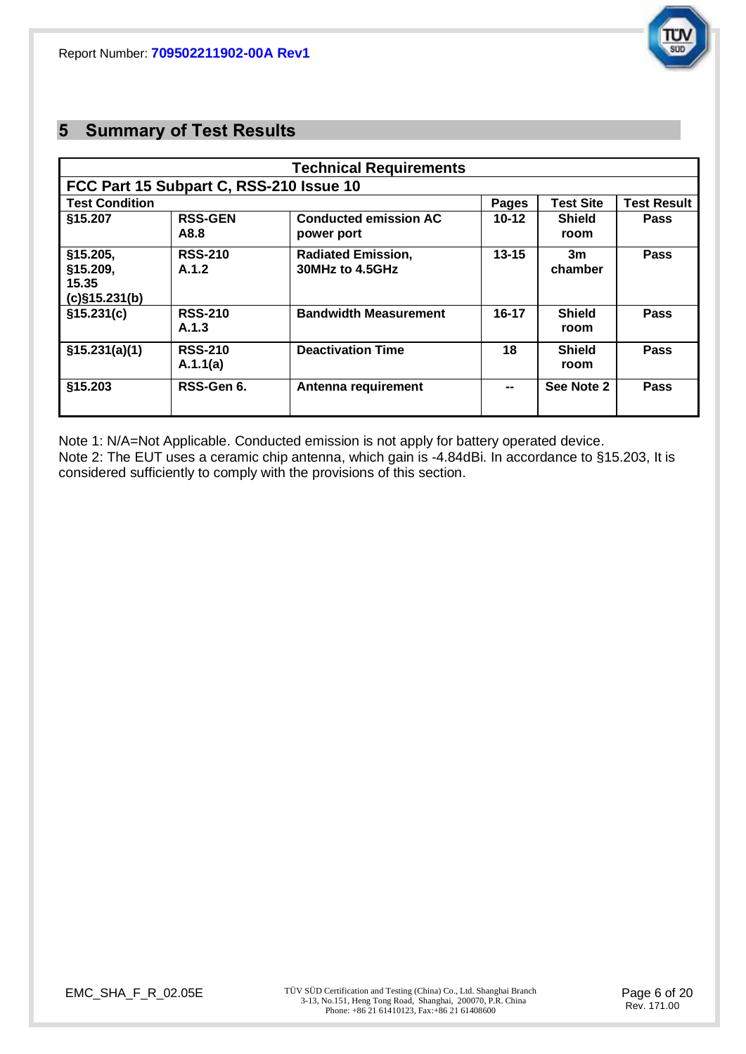

## **5 Summary of Test Results**

|                                                   |                                         | <b>Technical Requirements</b>                |           |                       |                    |
|---------------------------------------------------|-----------------------------------------|----------------------------------------------|-----------|-----------------------|--------------------|
|                                                   | FCC Part 15 Subpart C, RSS-210 Issue 10 |                                              |           |                       |                    |
| <b>Test Condition</b>                             |                                         |                                              | Pages     | Test Site             | <b>Test Result</b> |
| §15.207                                           | <b>RSS-GEN</b><br>A8.8                  | <b>Conducted emission AC</b><br>power port   | $10 - 12$ | <b>Shield</b><br>room | <b>Pass</b>        |
| §15.205,<br>§15.209,<br>15.35<br>$(c)$ §15.231(b) | <b>RSS-210</b><br>A.1.2                 | <b>Radiated Emission,</b><br>30MHz to 4.5GHz | $13 - 15$ | 3m<br>chamber         | <b>Pass</b>        |
| \$15.231(c)                                       | <b>RSS-210</b><br>A.1.3                 | <b>Bandwidth Measurement</b>                 | $16 - 17$ | <b>Shield</b><br>room | Pass               |
| \$15.231(a)(1)                                    | <b>RSS-210</b><br>A.1.1(a)              | <b>Deactivation Time</b>                     | 18        | <b>Shield</b><br>room | Pass               |
| §15.203                                           | RSS-Gen 6.                              | Antenna requirement                          | --        | See Note 2            | Pass               |

Note 1: N/A=Not Applicable. Conducted emission is not apply for battery operated device. Note 2: The EUT uses a ceramic chip antenna, which gain is -4.84dBi. In accordance to §15.203, It is considered sufficiently to comply with the provisions of this section.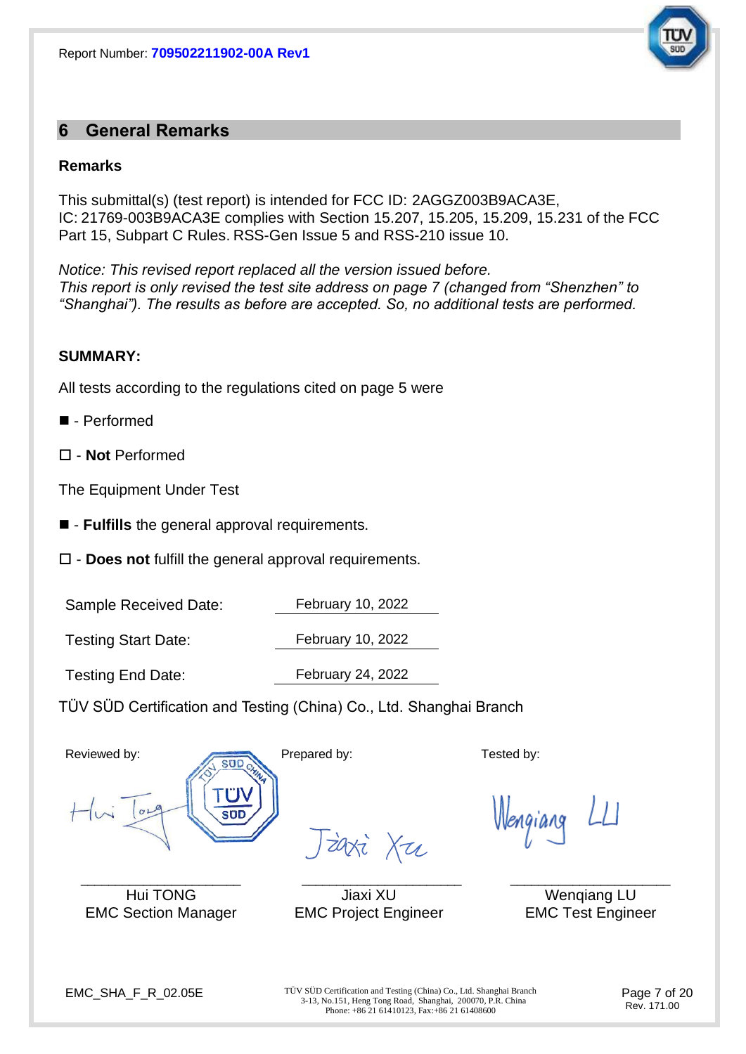

## **6 General Remarks**

#### **Remarks**

This submittal(s) (test report) is intended for FCC ID: 2AGGZ003B9ACA3E, IC: 21769-003B9ACA3E complies with Section 15.207, 15.205, 15.209, 15.231 of the FCC Part 15, Subpart C Rules. RSS-Gen Issue 5 and RSS-210 issue 10.

*Notice: This revised report replaced all the version issued before. This report is only revised the test site address on page 7 (changed from "Shenzhen" to "Shanghai"). The results as before are accepted. So, no additional tests are performed.*

#### **SUMMARY:**

All tests according to the regulations cited on page 5 were

- - Performed
- **Not** Performed

The Equipment Under Test

- - **Fulfills** the general approval requirements.
- **Does not** fulfill the general approval requirements.

Sample Received Date: February 10, 2022

Testing Start Date: February 10, 2022

Testing End Date: February 24, 2022

TÜV SÜD Certification and Testing (China) Co., Ltd. Shanghai Branch





 $\_$  ,  $\_$  ,  $\_$  ,  $\_$  ,  $\_$  ,  $\_$  ,  $\_$  ,  $\_$  ,  $\_$  ,  $\_$  ,  $\_$  ,  $\_$  ,  $\_$  ,  $\_$  ,  $\_$  ,  $\_$  ,  $\_$  ,  $\_$  ,  $\_$  ,  $\_$  ,  $\_$  ,  $\_$  ,  $\_$  ,  $\_$  ,  $\_$  ,  $\_$  ,  $\_$  ,  $\_$  ,  $\_$  ,  $\_$  ,  $\_$  ,  $\_$  ,  $\_$  ,  $\_$  ,  $\_$  ,  $\_$  ,  $\_$  , Hui TONG Jiaxi XU Wenqiang LU EMC Section Manager EMC Project Engineer EMC Test Engineer

zaxi Xu

EMC\_SHA\_F\_R\_02.05E TÜV SÜD Certification and Testing (China) Co., Ltd. Shanghai Branch 3-13, No.151, Heng Tong Road, Shanghai, 200070, P.R. China Phone: +86 21 61410123, Fax:+86 21 61408600

Page 7 of 20 Rev. 171.00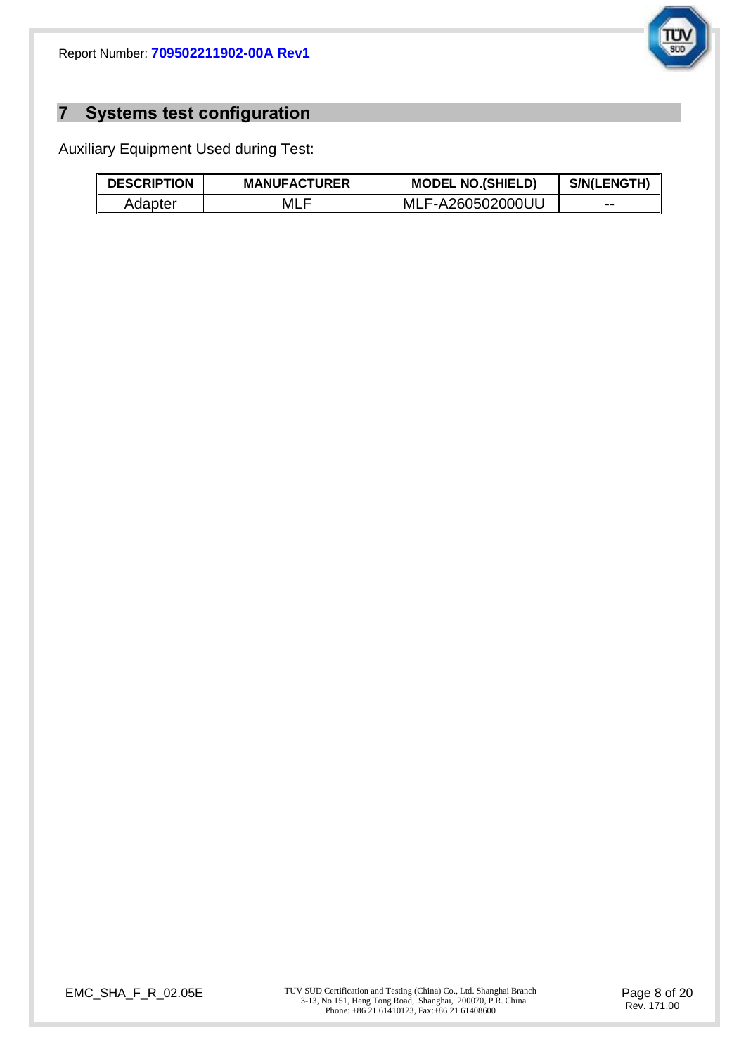

# **7 Systems test configuration**

Auxiliary Equipment Used during Test:

| <b>DESCRIPTION</b> | <b>MANUFACTURER</b> | <b>MODEL NO.(SHIELD)</b> | S/N(LENGTH) |
|--------------------|---------------------|--------------------------|-------------|
| Adapter            | MLF                 | MLF-A260502000UU         | $- -$       |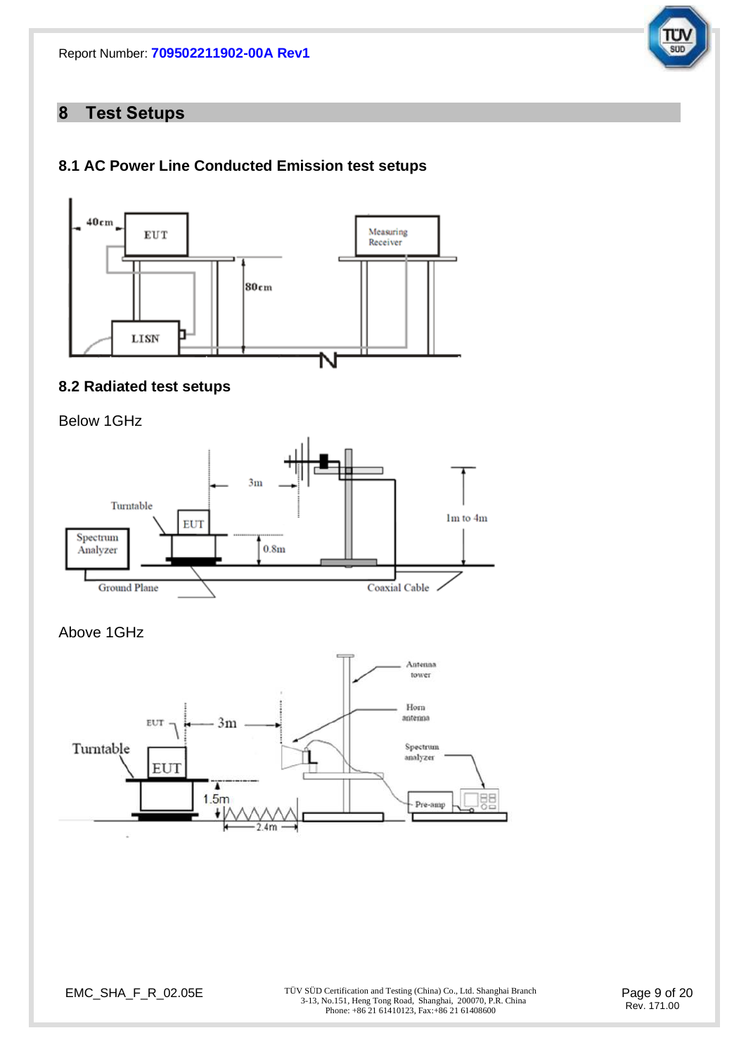

## **8 Test Setups**

## **8.1 AC Power Line Conducted Emission test setups**



## **8.2 Radiated test setups**





Above 1GHz



EMC\_SHA\_F\_R\_02.05E TÜV SÜD Certification and Testing (China) Co., Ltd. Shanghai Branch 3-13, No.151, Heng Tong Road, Shanghai, 200070, P.R. China Phone: +86 21 61410123, Fax: +86 21 61408600

Page 9 of 20 Rev. 171.00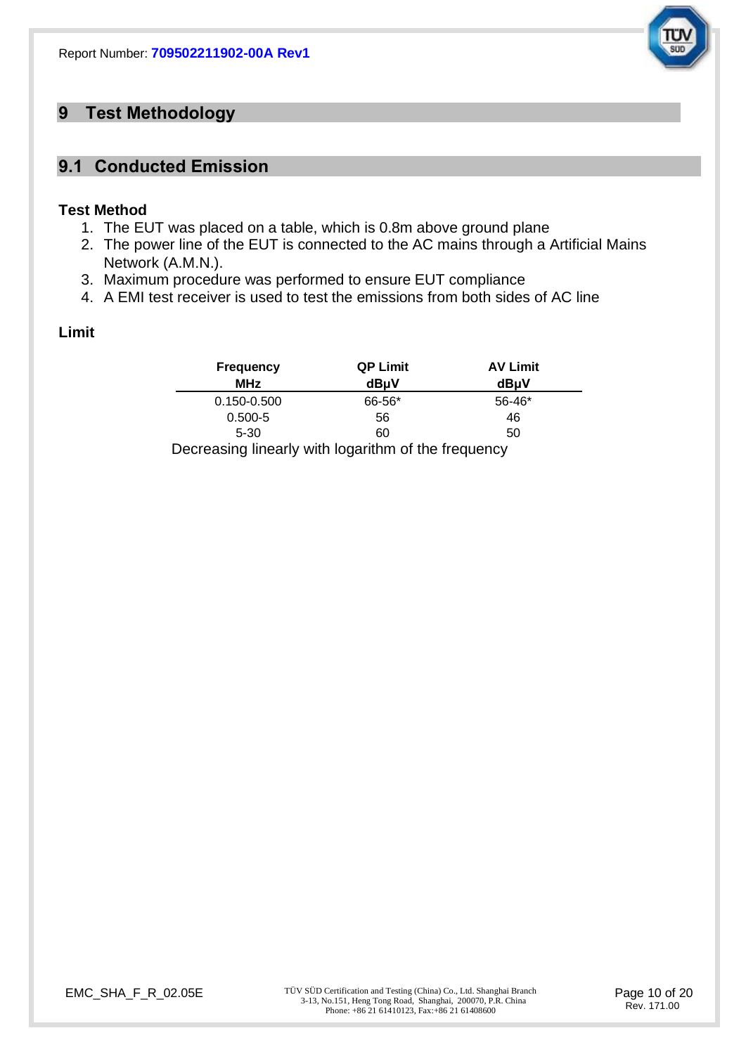

## **9 Test Methodology**

## **9.1 Conducted Emission**

#### **Test Method**

- 1. The EUT was placed on a table, which is 0.8m above ground plane
- 2. The power line of the EUT is connected to the AC mains through a Artificial Mains Network (A.M.N.).
- 3. Maximum procedure was performed to ensure EUT compliance
- 4. A EMI test receiver is used to test the emissions from both sides of AC line

#### **Limit**

| <b>Frequency</b>                                    | <b>QP Limit</b> | <b>AV Limit</b> |
|-----------------------------------------------------|-----------------|-----------------|
| <b>MHz</b>                                          | dBµV            | dBµV            |
| $0.150 - 0.500$                                     | 66-56*          | $56 - 46*$      |
| $0.500 - 5$                                         | 56              | 46              |
| $5 - 30$                                            | 60              | 50              |
| Decreasing linearly with logarithm of the frequency |                 |                 |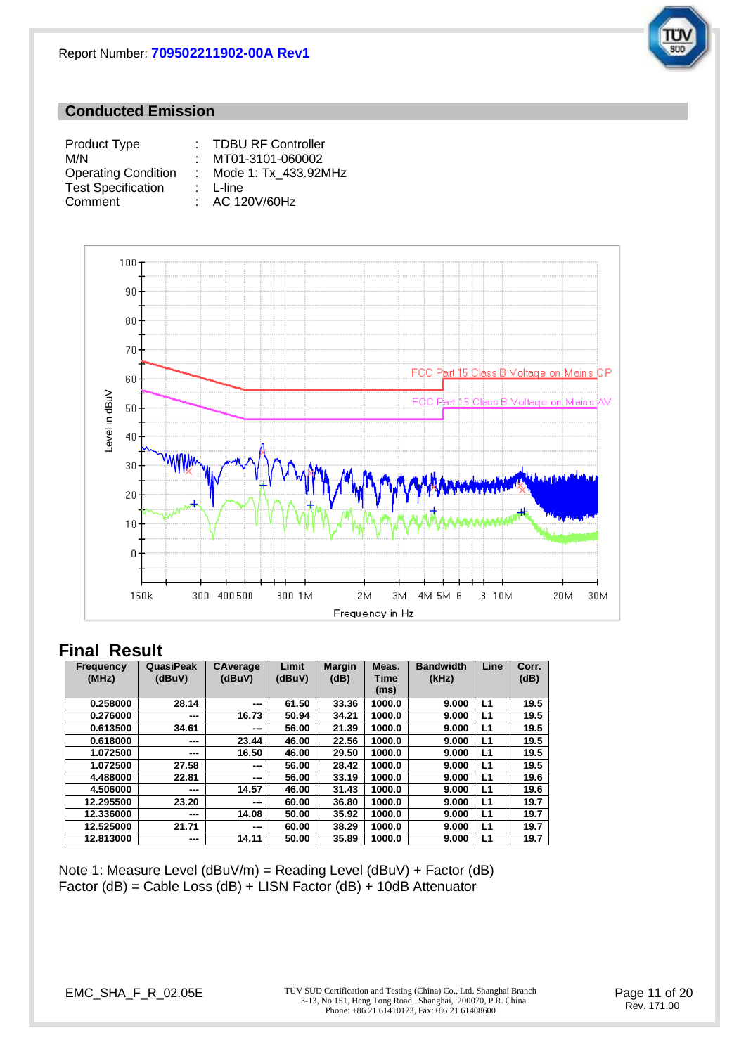

#### **Conducted Emission**

| Product Type               | : TDBU RF Controller   |
|----------------------------|------------------------|
| M/N                        | : MT01-3101-060002     |
| <b>Operating Condition</b> | : Mode 1: Tx 433.92MHz |
| <b>Test Specification</b>  | $: L$ -line            |
| Comment                    | : AC 120V/60Hz         |



## **Final\_Result**

| <b>Frequency</b><br>(MHz) | QuasiPeak<br>(dBuV)      | CAverage<br>(dBuV)     | Limit<br>(dBuV) | <b>Margin</b><br>(dB) | Meas.<br>Time<br>(ms) | <b>Bandwidth</b><br>(kHz) | Line | Corr.<br>(dB) |
|---------------------------|--------------------------|------------------------|-----------------|-----------------------|-----------------------|---------------------------|------|---------------|
| 0.258000                  | 28.14                    | $--$                   | 61.50           | 33.36                 | 1000.0                | 9.000                     | L1   | 19.5          |
| 0.276000                  | ---                      | 16.73                  | 50.94           | 34.21                 | 1000.0                | 9.000                     | L1   | 19.5          |
| 0.613500                  | 34.61                    | ---                    | 56.00           | 21.39                 | 1000.0                | 9.000                     | L1   | 19.5          |
| 0.618000                  | ---                      | 23.44                  | 46.00           | 22.56                 | 1000.0                | 9.000                     | L1   | 19.5          |
| 1.072500                  | $\overline{\phantom{a}}$ | 16.50                  | 46.00           | 29.50                 | 1000.0                | 9.000                     | L1   | 19.5          |
| 1.072500                  | 27.58                    | $--$                   | 56.00           | 28.42                 | 1000.0                | 9.000                     | L1   | 19.5          |
| 4.488000                  | 22.81                    | $\qquad \qquad \cdots$ | 56.00           | 33.19                 | 1000.0                | 9.000                     | L1   | 19.6          |
| 4.506000                  | ---                      | 14.57                  | 46.00           | 31.43                 | 1000.0                | 9.000                     | L1   | 19.6          |
| 12.295500                 | 23.20                    | ---                    | 60.00           | 36.80                 | 1000.0                | 9.000                     | L1   | 19.7          |
| 12.336000                 | ---                      | 14.08                  | 50.00           | 35.92                 | 1000.0                | 9.000                     | L1   | 19.7          |
| 12.525000                 | 21.71                    | $--$                   | 60.00           | 38.29                 | 1000.0                | 9.000                     | L1   | 19.7          |
| 12.813000                 | ---                      | 14.11                  | 50.00           | 35.89                 | 1000.0                | 9.000                     | L1   | 19.7          |

Note 1: Measure Level ( $dBuV/m$ ) = Reading Level ( $dBuV$ ) + Factor ( $dB$ ) Factor (dB) = Cable Loss (dB) + LISN Factor (dB) + 10dB Attenuator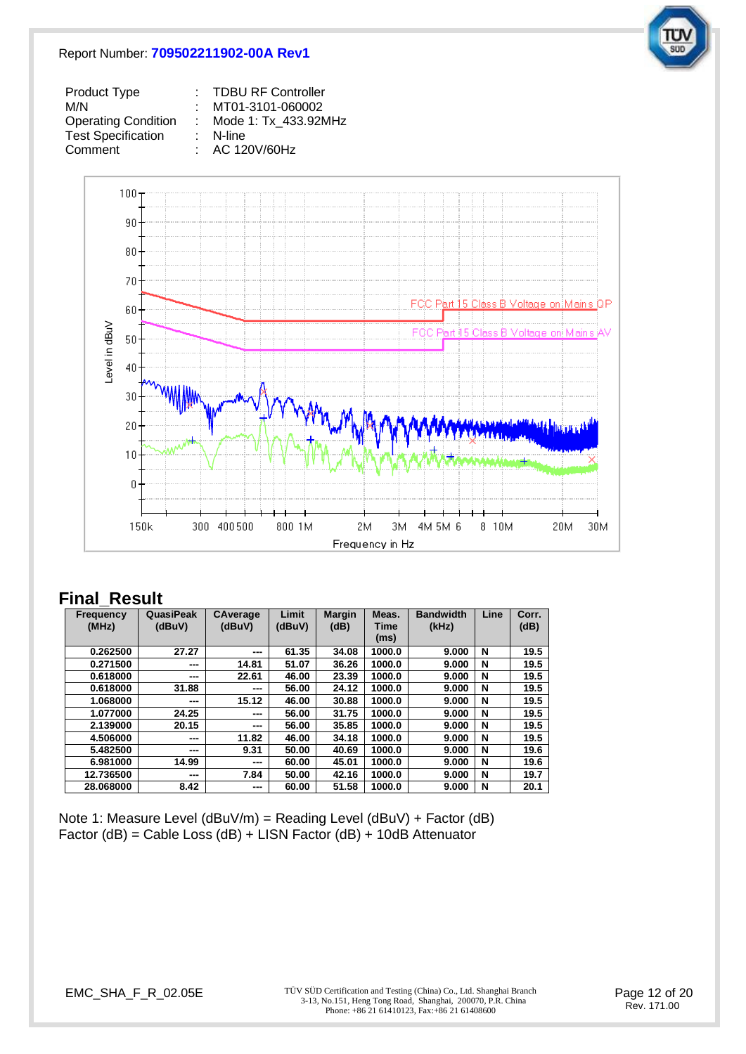#### Report Number: **709502211902-00A Rev1**



| Product Type               | : TDBU RF Controller |
|----------------------------|----------------------|
| M/N                        | MT01-3101-060002     |
| <b>Operating Condition</b> | Mode 1: Tx 433.92MHz |
| <b>Test Specification</b>  | $:$ N-line           |
| Comment                    | : AC 120V/60Hz       |



## **Final\_Result**

| <b>Frequency</b> | QuasiPeak | <b>CAverage</b> | Limit  | <b>Margin</b> | Meas.  | <b>Bandwidth</b> | Line | Corr. |
|------------------|-----------|-----------------|--------|---------------|--------|------------------|------|-------|
| (MHz)            | (dBuV)    | (dBuV)          | (dBuV) | (dB)          | Time   | (kHz)            |      | (dB)  |
|                  |           |                 |        |               | (ms)   |                  |      |       |
| 0.262500         | 27.27     | ---             | 61.35  | 34.08         | 1000.0 | 9.000            | N    | 19.5  |
| 0.271500         | ---       | 14.81           | 51.07  | 36.26         | 1000.0 | 9.000            | N    | 19.5  |
| 0.618000         | ---       | 22.61           | 46.00  | 23.39         | 1000.0 | 9.000            | N    | 19.5  |
| 0.618000         | 31.88     | ---             | 56.00  | 24.12         | 1000.0 | 9.000            | N    | 19.5  |
| 1.068000         | ---       | 15.12           | 46.00  | 30.88         | 1000.0 | 9.000            | N    | 19.5  |
| 1.077000         | 24.25     | ---             | 56.00  | 31.75         | 1000.0 | 9.000            | N    | 19.5  |
| 2.139000         | 20.15     | ---             | 56.00  | 35.85         | 1000.0 | 9.000            | N    | 19.5  |
| 4.506000         | ---       | 11.82           | 46.00  | 34.18         | 1000.0 | 9.000            | N    | 19.5  |
| 5.482500         | ---       | 9.31            | 50.00  | 40.69         | 1000.0 | 9.000            | N    | 19.6  |
| 6.981000         | 14.99     | ---             | 60.00  | 45.01         | 1000.0 | 9.000            | N    | 19.6  |
| 12.736500        | ---       | 7.84            | 50.00  | 42.16         | 1000.0 | 9.000            | N    | 19.7  |
| 28.068000        | 8.42      | ---             | 60.00  | 51.58         | 1000.0 | 9.000            | N    | 20.1  |

Note 1: Measure Level (dBuV/m) = Reading Level (dBuV) + Factor (dB) Factor (dB) = Cable Loss (dB) + LISN Factor (dB) + 10dB Attenuator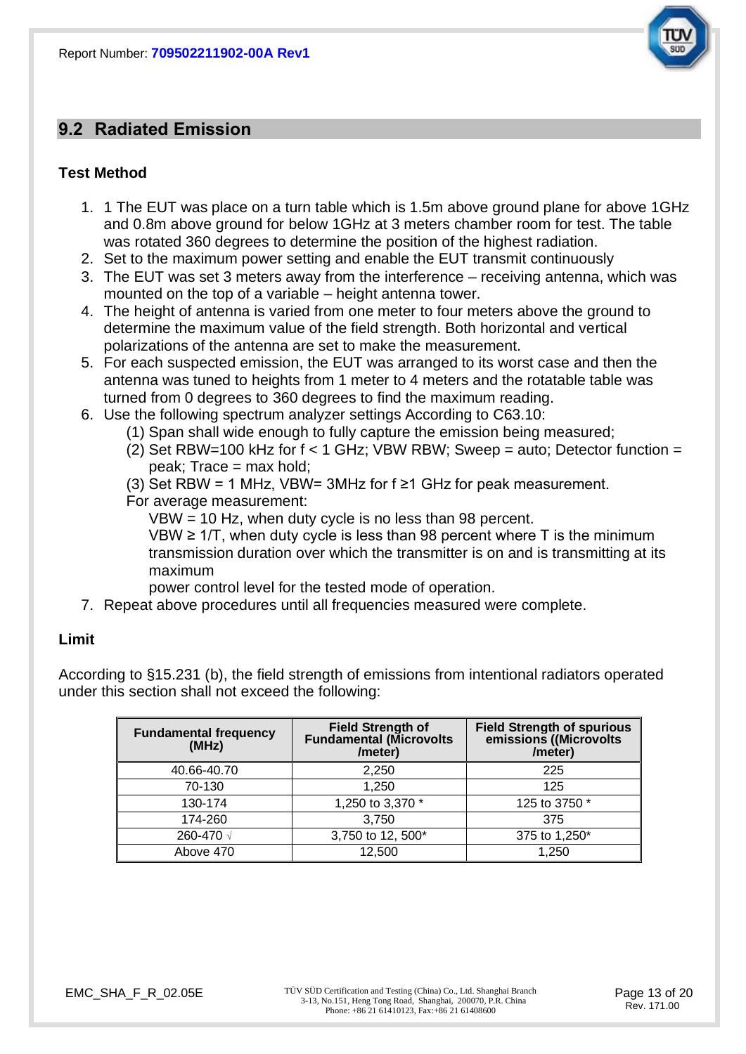

## **9.2 Radiated Emission**

## **Test Method**

- 1. 1 The EUT was place on a turn table which is 1.5m above ground plane for above 1GHz and 0.8m above ground for below 1GHz at 3 meters chamber room for test. The table was rotated 360 degrees to determine the position of the highest radiation.
- 2. Set to the maximum power setting and enable the EUT transmit continuously
- 3. The EUT was set 3 meters away from the interference receiving antenna, which was mounted on the top of a variable – height antenna tower.
- 4. The height of antenna is varied from one meter to four meters above the ground to determine the maximum value of the field strength. Both horizontal and vertical polarizations of the antenna are set to make the measurement.
- 5. For each suspected emission, the EUT was arranged to its worst case and then the antenna was tuned to heights from 1 meter to 4 meters and the rotatable table was turned from 0 degrees to 360 degrees to find the maximum reading.
- 6. Use the following spectrum analyzer settings According to C63.10:
	- (1) Span shall wide enough to fully capture the emission being measured;
		- (2) Set RBW=100 kHz for  $f < 1$  GHz; VBW RBW; Sweep = auto; Detector function =  $peak$ ; Trace = max hold;
		- (3) Set RBW = 1 MHz, VBW= 3MHz for  $f \ge 1$  GHz for peak measurement.
		- For average measurement:
			- VBW = 10 Hz, when duty cycle is no less than 98 percent.

VBW ≥ 1/T, when duty cycle is less than 98 percent where  $T$  is the minimum transmission duration over which the transmitter is on and is transmitting at its maximum

power control level for the tested mode of operation.

7. Repeat above procedures until all frequencies measured were complete.

#### **Limit**

According to §15.231 (b), the field strength of emissions from intentional radiators operated under this section shall not exceed the following:

| <b>Fundamental frequency</b><br>(MHz) | <b>Field Strength of</b><br><b>Fundamental (Microvolts</b><br>/meter) | <b>Field Strength of spurious</b><br>emissions ((Microvolts<br>/meter) |
|---------------------------------------|-----------------------------------------------------------------------|------------------------------------------------------------------------|
| 40.66-40.70                           | 2,250                                                                 | 225                                                                    |
| 70-130                                | 1,250                                                                 | 125                                                                    |
| 130-174                               | 1,250 to 3,370 *                                                      | 125 to 3750 *                                                          |
| 174-260                               | 3,750                                                                 | 375                                                                    |
| 260-470 √                             | 3,750 to 12, 500*                                                     | 375 to 1,250*                                                          |
| Above 470                             | 12,500                                                                | 1,250                                                                  |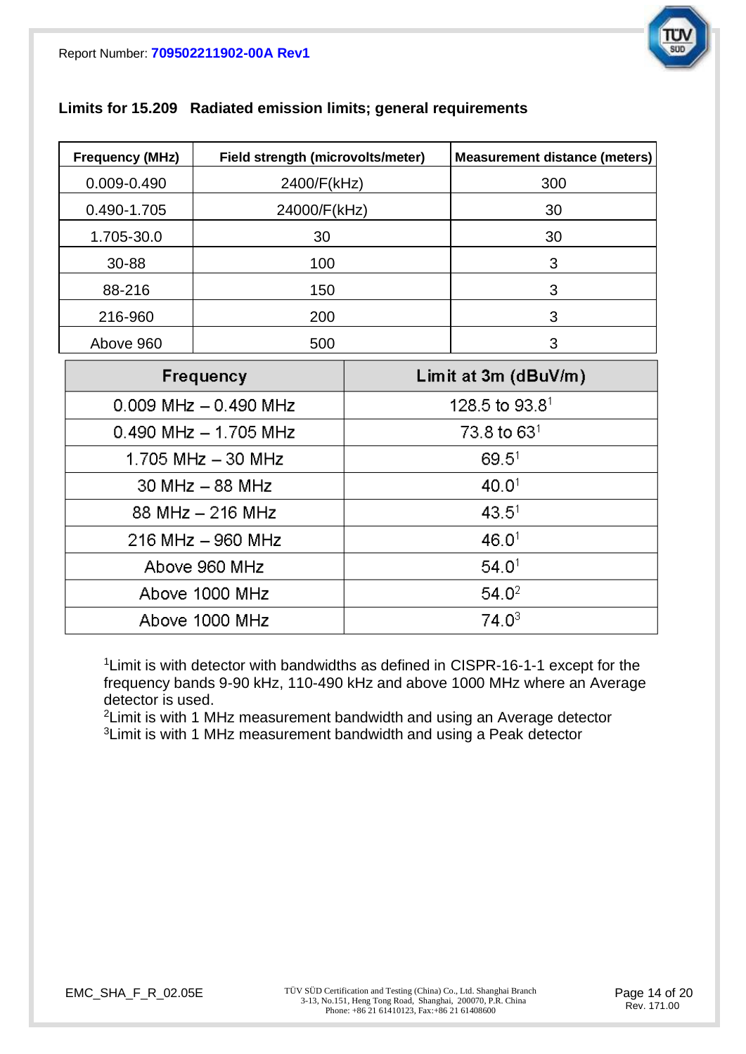

| <b>Frequency (MHz)</b> | Field strength (microvolts/meter) | <b>Measurement distance (meters)</b> |
|------------------------|-----------------------------------|--------------------------------------|
| 0.009-0.490            | 2400/F(kHz)                       | 300                                  |
| 0.490-1.705            | 24000/F(kHz)                      | 30                                   |
| 1.705-30.0             | 30                                | 30                                   |
| 30-88                  | 100                               | 3                                    |
| 88-216                 | 150                               | 3                                    |
| 216-960                | 200                               | 3                                    |
| Above 960              | 500                               | 3                                    |

## **Limits for 15.209 Radiated emission limits; general requirements**

| Above 960             | 500                       |                   | 3                          |
|-----------------------|---------------------------|-------------------|----------------------------|
|                       | Frequency                 |                   | Limit at 3m $(dBuV/m)$     |
|                       | $0.009$ MHz $- 0.490$ MHz |                   | 128.5 to 93.8 <sup>1</sup> |
|                       | $0.490$ MHz $- 1.705$ MHz |                   | $73.8$ to $631$            |
|                       | 1.705 MHz $-$ 30 MHz      | 69.5 <sup>1</sup> |                            |
| $30$ MHz $-88$ MHz    |                           | 40.0 <sup>1</sup> |                            |
|                       | 88 MHz $-$ 216 MHz        | 43.5 <sup>1</sup> |                            |
| $216$ MHz $-$ 960 MHz |                           |                   | 46.0 <sup>1</sup>          |
| Above 960 MHz         |                           | 54.0 <sup>1</sup> |                            |
| Above 1000 MHz        |                           | 54.0 <sup>2</sup> |                            |
|                       | Above 1000 MHz            | $74.0^3$          |                            |

<sup>1</sup> Limit is with detector with bandwidths as defined in CISPR-16-1-1 except for the frequency bands 9-90 kHz, 110-490 kHz and above 1000 MHz where an Average detector is used.

<sup>2</sup>Limit is with 1 MHz measurement bandwidth and using an Average detector  $3$ Limit is with 1 MHz measurement bandwidth and using a Peak detector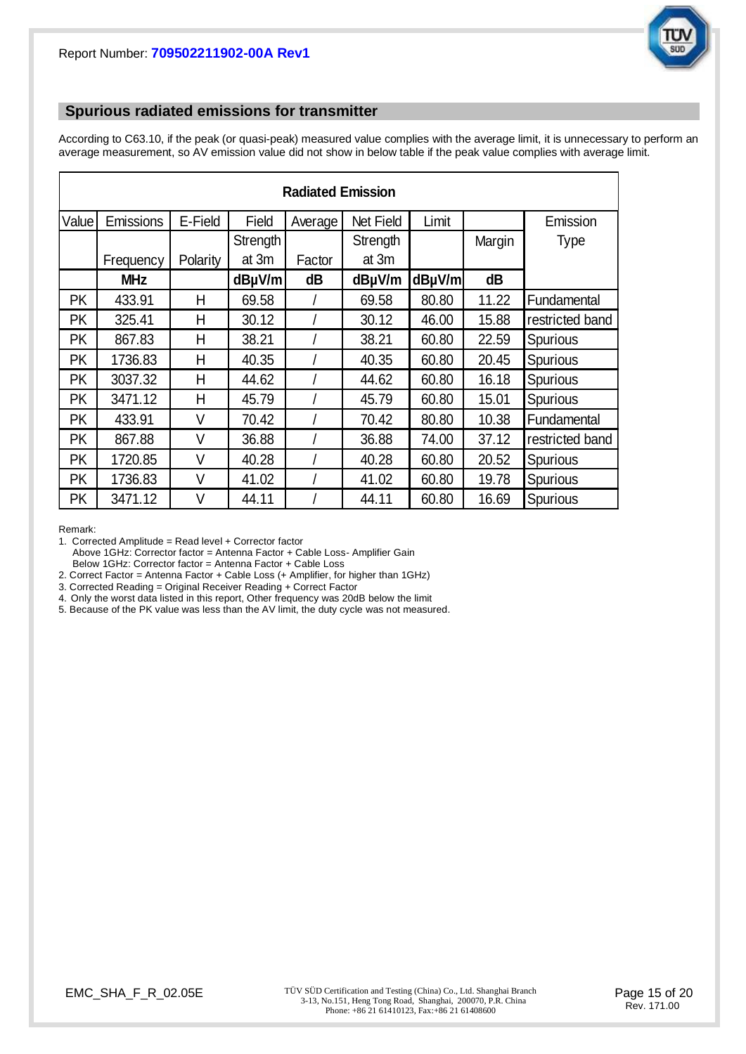

#### **Spurious radiated emissions for transmitter**

According to C63.10, if the peak (or quasi-peak) measured value complies with the average limit, it is unnecessary to perform an average measurement, so AV emission value did not show in below table if the peak value complies with average limit.

| <b>Radiated Emission</b> |            |          |          |         |           |        |        |                 |
|--------------------------|------------|----------|----------|---------|-----------|--------|--------|-----------------|
| Value                    | Emissions  | E-Field  | Field    | Average | Net Field | Limit  |        | Emission        |
|                          |            |          | Strength |         | Strength  |        | Margin | <b>Type</b>     |
|                          | Frequency  | Polarity | at 3m    | Factor  | at 3m     |        |        |                 |
|                          | <b>MHz</b> |          | dBµV/m   | dB      | dBµV/m    | dBµV/m | dB     |                 |
| <b>PK</b>                | 433.91     | Н        | 69.58    |         | 69.58     | 80.80  | 11.22  | Fundamental     |
| PK                       | 325.41     | H        | 30.12    |         | 30.12     | 46.00  | 15.88  | restricted band |
| <b>PK</b>                | 867.83     | Н        | 38.21    |         | 38.21     | 60.80  | 22.59  | Spurious        |
| <b>PK</b>                | 1736.83    | н        | 40.35    |         | 40.35     | 60.80  | 20.45  | Spurious        |
| <b>PK</b>                | 3037.32    | Н        | 44.62    |         | 44.62     | 60.80  | 16.18  | Spurious        |
| <b>PK</b>                | 3471.12    | н        | 45.79    |         | 45.79     | 60.80  | 15.01  | Spurious        |
| <b>PK</b>                | 433.91     | V        | 70.42    |         | 70.42     | 80.80  | 10.38  | Fundamental     |
| PK                       | 867.88     | V        | 36.88    |         | 36.88     | 74.00  | 37.12  | restricted band |
| PK                       | 1720.85    | V        | 40.28    |         | 40.28     | 60.80  | 20.52  | Spurious        |
| PK                       | 1736.83    | ٧        | 41.02    |         | 41.02     | 60.80  | 19.78  | Spurious        |
| PK                       | 3471.12    | V        | 44.11    |         | 44.11     | 60.80  | 16.69  | Spurious        |

Remark:

1. Corrected Amplitude = Read level + Corrector factor

Above 1GHz: Corrector factor = Antenna Factor + Cable Loss- Amplifier Gain

Below 1GHz: Corrector factor = Antenna Factor + Cable Loss

2. Correct Factor = Antenna Factor + Cable Loss (+ Amplifier, for higher than 1GHz)

3. Corrected Reading = Original Receiver Reading + Correct Factor

4. Only the worst data listed in this report, Other frequency was 20dB below the limit

5. Because of the PK value was less than the AV limit, the duty cycle was not measured.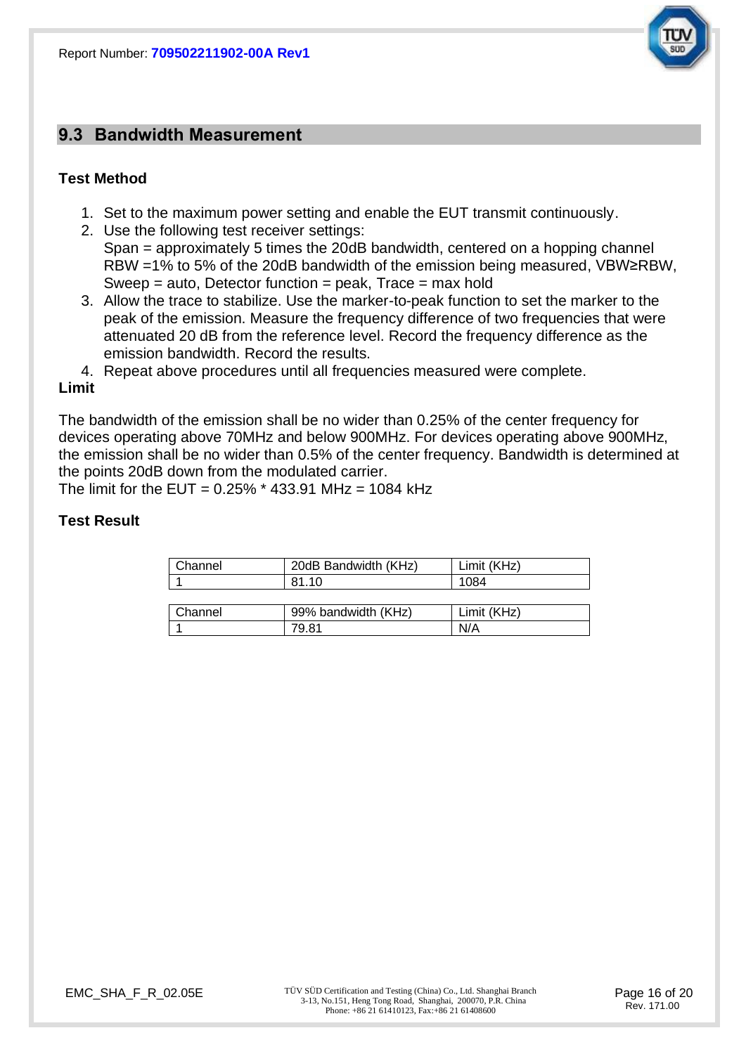

## **9.3 Bandwidth Measurement**

## **Test Method**

- 1. Set to the maximum power setting and enable the EUT transmit continuously.
- 2. Use the following test receiver settings: Span = approximately 5 times the 20dB bandwidth, centered on a hopping channel RBW =1% to 5% of the 20dB bandwidth of the emission being measured, VBW≥RBW, Sweep = auto, Detector function = peak, Trace = max hold
- 3. Allow the trace to stabilize. Use the marker-to-peak function to set the marker to the peak of the emission. Measure the frequency difference of two frequencies that were attenuated 20 dB from the reference level. Record the frequency difference as the emission bandwidth. Record the results.
- 4. Repeat above procedures until all frequencies measured were complete.

1 79.81 N/A

#### **Limit**

The bandwidth of the emission shall be no wider than 0.25% of the center frequency for devices operating above 70MHz and below 900MHz. For devices operating above 900MHz, the emission shall be no wider than 0.5% of the center frequency. Bandwidth is determined at the points 20dB down from the modulated carrier.

The limit for the EUT =  $0.25\%$  \* 433.91 MHz = 1084 kHz

## **Test Result**

| Channel | 20dB Bandwidth (KHz) | Limit (KHz) |
|---------|----------------------|-------------|
|         | 81.10                | 1084        |
|         |                      |             |
| Channel | 99% bandwidth (KHz)  | Limit (KHz) |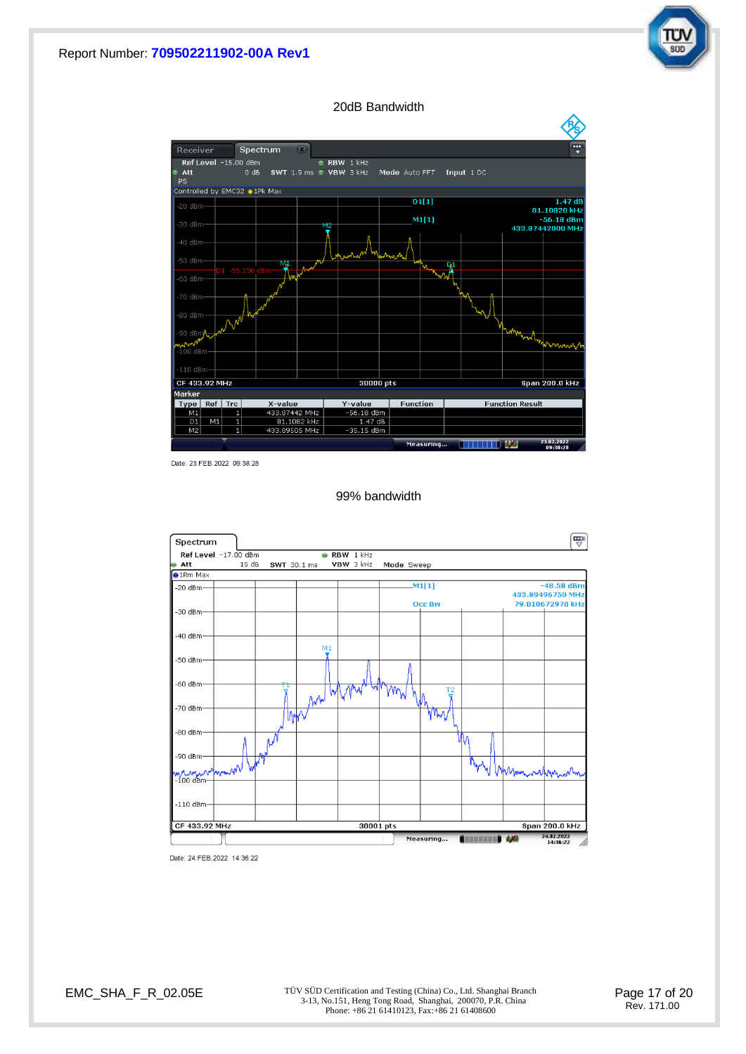#### Report Number: **709502211902-00A Rev1**



20dB Bandwidth



Date: 23. FEB. 2022 09:38:28

99% bandwidth



Date: 24.FEB.2022 14:36:22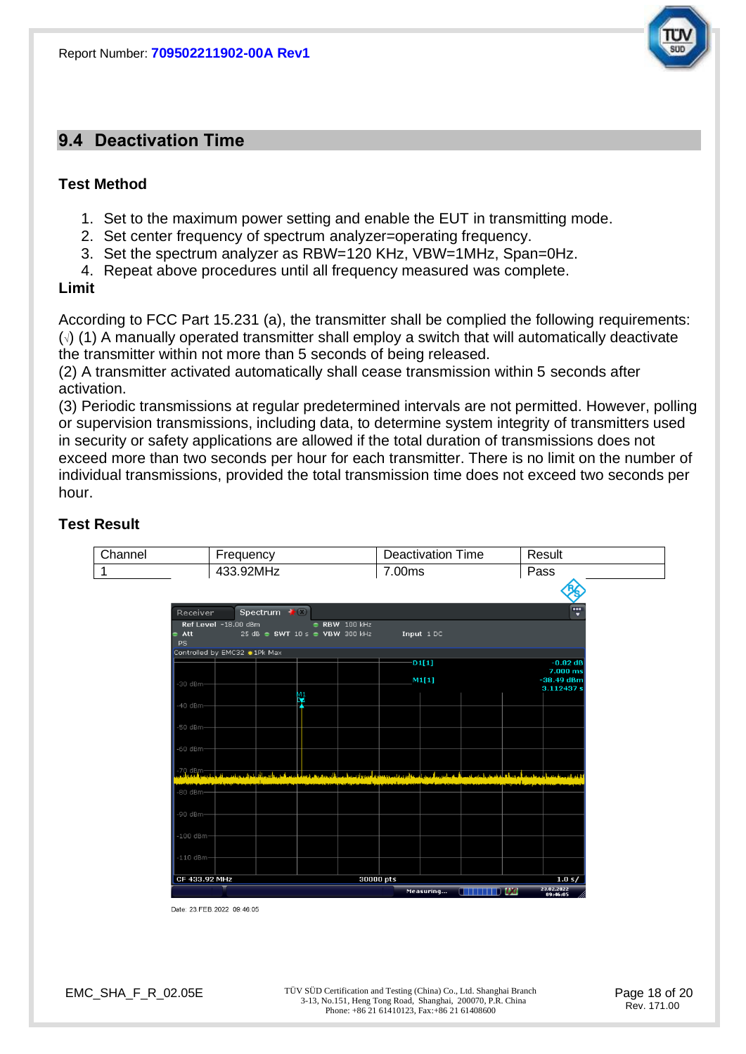## **9.4 Deactivation Time**

#### **Test Method**

- 1. Set to the maximum power setting and enable the EUT in transmitting mode.
- 2. Set center frequency of spectrum analyzer=operating frequency.
- 3. Set the spectrum analyzer as RBW=120 KHz, VBW=1MHz, Span=0Hz.
- 4. Repeat above procedures until all frequency measured was complete.

#### **Limit**

According to FCC Part 15.231 (a), the transmitter shall be complied the following requirements: (√) (1) A manually operated transmitter shall employ a switch that will automatically deactivate the transmitter within not more than 5 seconds of being released.

(2) A transmitter activated automatically shall cease transmission within 5 seconds after activation.

(3) Periodic transmissions at regular predetermined intervals are not permitted. However, polling or supervision transmissions, including data, to determine system integrity of transmitters used in security or safety applications are allowed if the total duration of transmissions does not exceed more than two seconds per hour for each transmitter. There is no limit on the number of individual transmissions, provided the total transmission time does not exceed two seconds per hour.

## **Test Result**

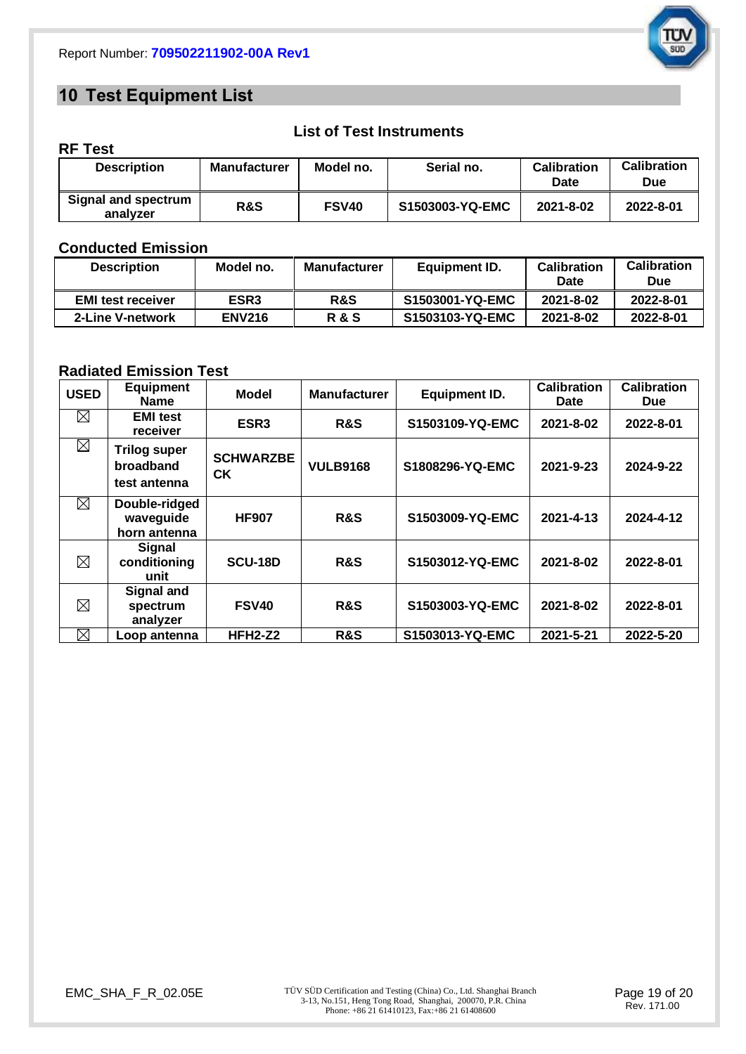

## **10 Test Equipment List**

| <b>Description</b>                     | <b>Manufacturer</b> | Model no.    | Serial no.      | <b>Calibration</b><br>Date | <b>Calibration</b><br>Due |
|----------------------------------------|---------------------|--------------|-----------------|----------------------------|---------------------------|
| <b>Signal and spectrum</b><br>analyzer | <b>R&amp;S</b>      | <b>FSV40</b> | S1503003-YQ-EMC | 2021-8-02                  | 2022-8-01                 |

**List of Test Instruments**

## **Conducted Emission**

**RF Test**

| <b>Description</b>       | Model no.        | <b>Manufacturer</b> | Equipment ID.   | <b>Calibration</b><br><b>Date</b> | <b>Calibration</b><br>Due |
|--------------------------|------------------|---------------------|-----------------|-----------------------------------|---------------------------|
| <b>EMI test receiver</b> | ESR <sub>3</sub> | R&S                 | S1503001-YQ-EMC | 2021-8-02                         | 2022-8-01                 |
| 2-Line V-network         | <b>ENV216</b>    | <b>R&amp;S</b>      | S1503103-YQ-EMC | 2021-8-02                         | 2022-8-01                 |

## **Radiated Emission Test**

| <b>USED</b> | <b>Equipment</b><br><b>Name</b>                  | <b>Model</b>           | <b>Manufacturer</b> | <b>Equipment ID.</b> | Calibration<br><b>Date</b> | <b>Calibration</b><br><b>Due</b> |
|-------------|--------------------------------------------------|------------------------|---------------------|----------------------|----------------------------|----------------------------------|
| ⊠           | <b>EMI test</b><br>receiver                      | ESR <sub>3</sub>       | R&S                 | S1503109-YQ-EMC      | 2021-8-02                  | 2022-8-01                        |
| $\boxtimes$ | <b>Trilog super</b><br>broadband<br>test antenna | <b>SCHWARZBE</b><br>СK | <b>VULB9168</b>     | S1808296-YQ-EMC      | 2021-9-23                  | 2024-9-22                        |
| ⊠           | Double-ridged<br>waveguide<br>horn antenna       | <b>HF907</b>           | <b>R&amp;S</b>      | S1503009-YQ-EMC      | 2021-4-13                  | 2024-4-12                        |
| ⊠           | <b>Signal</b><br>conditioning<br>unit            | <b>SCU-18D</b>         | <b>R&amp;S</b>      | S1503012-YQ-EMC      | 2021-8-02                  | 2022-8-01                        |
| $\boxtimes$ | Signal and<br>spectrum<br>analyzer               | <b>FSV40</b>           | <b>R&amp;S</b>      | S1503003-YQ-EMC      | 2021-8-02                  | 2022-8-01                        |
| $\boxtimes$ | Loop antenna                                     | <b>HFH2-Z2</b>         | <b>R&amp;S</b>      | S1503013-YQ-EMC      | 2021-5-21                  | 2022-5-20                        |